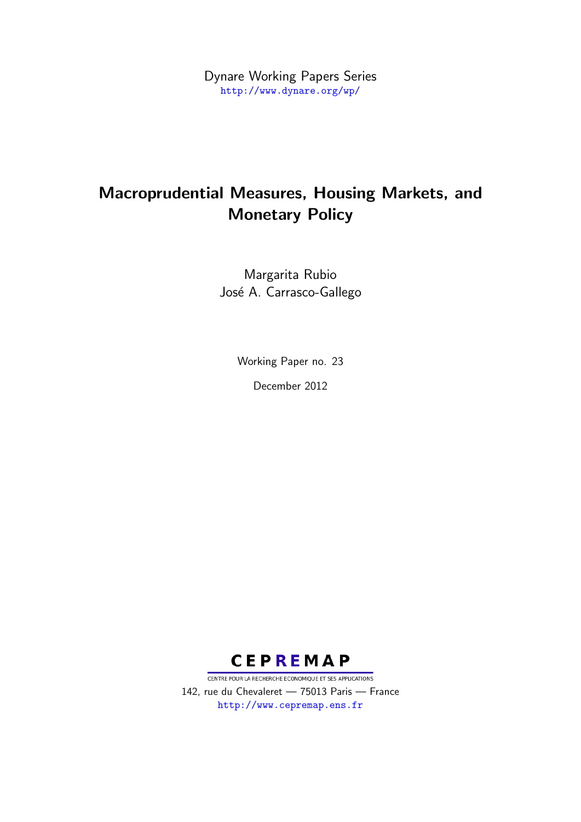Dynare Working Papers Series <http://www.dynare.org/wp/>

# Macroprudential Measures, Housing Markets, and Monetary Policy

Margarita Rubio José A. Carrasco-Gallego

Working Paper no. 23

December 2012



CENTRE POUR LA RECHERCHE ECONOMIQUE ET SES APPLICATIONS 142, rue du Chevaleret — 75013 Paris — France <http://www.cepremap.ens.fr>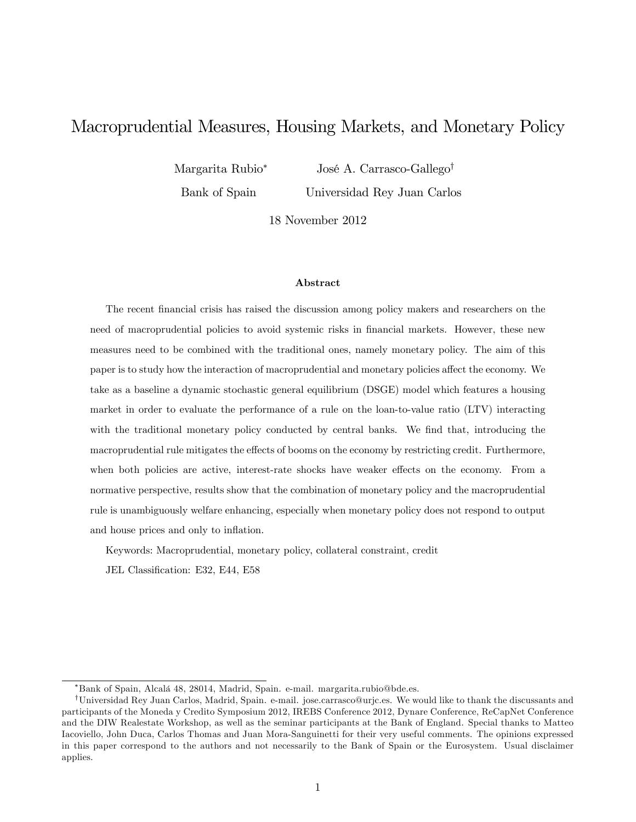## Macroprudential Measures, Housing Markets, and Monetary Policy

Margarita Rubio Bank of Spain José A. Carrasco-Gallego<sup>†</sup> Universidad Rey Juan Carlos

18 November 2012

#### Abstract

The recent financial crisis has raised the discussion among policy makers and researchers on the need of macroprudential policies to avoid systemic risks in financial markets. However, these new measures need to be combined with the traditional ones, namely monetary policy. The aim of this paper is to study how the interaction of macroprudential and monetary policies affect the economy. We take as a baseline a dynamic stochastic general equilibrium (DSGE) model which features a housing market in order to evaluate the performance of a rule on the loan-to-value ratio (LTV) interacting with the traditional monetary policy conducted by central banks. We find that, introducing the macroprudential rule mitigates the effects of booms on the economy by restricting credit. Furthermore, when both policies are active, interest-rate shocks have weaker effects on the economy. From a normative perspective, results show that the combination of monetary policy and the macroprudential rule is unambiguously welfare enhancing, especially when monetary policy does not respond to output and house prices and only to inflation.

Keywords: Macroprudential, monetary policy, collateral constraint, credit

JEL Classification: E32, E44, E58

Bank of Spain, Alcal· 48, 28014, Madrid, Spain. e-mail. margarita.rubio@bde.es.

<sup>&</sup>lt;sup>†</sup>Universidad Rey Juan Carlos, Madrid, Spain. e-mail. jose.carrasco@urjc.es. We would like to thank the discussants and participants of the Moneda y Credito Symposium 2012, IREBS Conference 2012, Dynare Conference, ReCapNet Conference and the DIW Realestate Workshop, as well as the seminar participants at the Bank of England. Special thanks to Matteo Iacoviello, John Duca, Carlos Thomas and Juan Mora-Sanguinetti for their very useful comments. The opinions expressed in this paper correspond to the authors and not necessarily to the Bank of Spain or the Eurosystem. Usual disclaimer applies.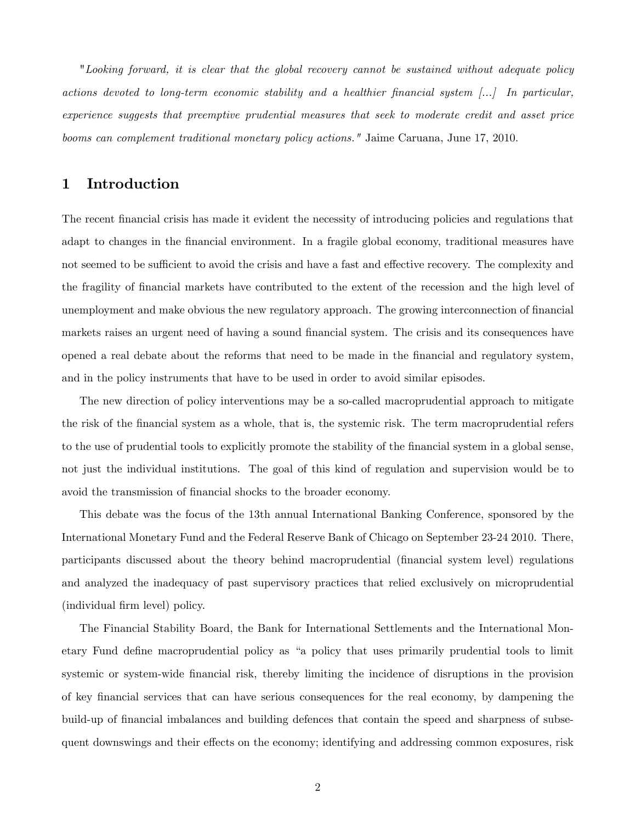"Looking forward, it is clear that the global recovery cannot be sustained without adequate policy actions devoted to long-term economic stability and a healthier financial system  $\left[\ldots\right]$  In particular, experience suggests that preemptive prudential measures that seek to moderate credit and asset price booms can complement traditional monetary policy actions." Jaime Caruana, June 17, 2010.

## 1 Introduction

The recent financial crisis has made it evident the necessity of introducing policies and regulations that adapt to changes in the financial environment. In a fragile global economy, traditional measures have not seemed to be sufficient to avoid the crisis and have a fast and effective recovery. The complexity and the fragility of Önancial markets have contributed to the extent of the recession and the high level of unemployment and make obvious the new regulatory approach. The growing interconnection of financial markets raises an urgent need of having a sound financial system. The crisis and its consequences have opened a real debate about the reforms that need to be made in the Önancial and regulatory system, and in the policy instruments that have to be used in order to avoid similar episodes.

The new direction of policy interventions may be a so-called macroprudential approach to mitigate the risk of the Önancial system as a whole, that is, the systemic risk. The term macroprudential refers to the use of prudential tools to explicitly promote the stability of the Önancial system in a global sense, not just the individual institutions. The goal of this kind of regulation and supervision would be to avoid the transmission of financial shocks to the broader economy.

This debate was the focus of the 13th annual International Banking Conference, sponsored by the International Monetary Fund and the Federal Reserve Bank of Chicago on September 23-24 2010. There, participants discussed about the theory behind macroprudential (Önancial system level) regulations and analyzed the inadequacy of past supervisory practices that relied exclusively on microprudential (individual firm level) policy.

The Financial Stability Board, the Bank for International Settlements and the International Monetary Fund define macroprudential policy as "a policy that uses primarily prudential tools to limit systemic or system-wide financial risk, thereby limiting the incidence of disruptions in the provision of key Önancial services that can have serious consequences for the real economy, by dampening the build-up of financial imbalances and building defences that contain the speed and sharpness of subsequent downswings and their effects on the economy; identifying and addressing common exposures, risk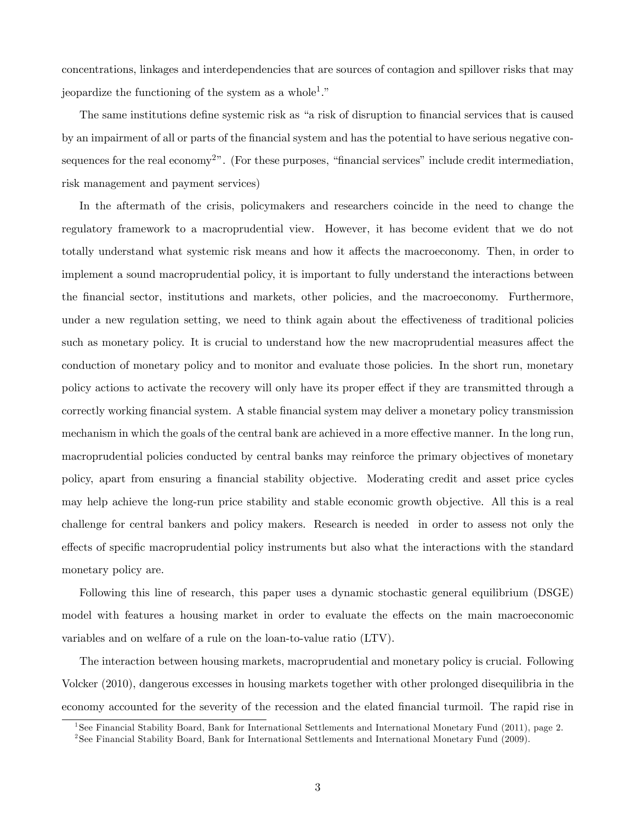concentrations, linkages and interdependencies that are sources of contagion and spillover risks that may jeopardize the functioning of the system as a whole<sup>1</sup>."

The same institutions define systemic risk as "a risk of disruption to financial services that is caused by an impairment of all or parts of the Önancial system and has the potential to have serious negative consequences for the real economy<sup>2</sup>". (For these purposes, "financial services" include credit intermediation, risk management and payment services)

In the aftermath of the crisis, policymakers and researchers coincide in the need to change the regulatory framework to a macroprudential view. However, it has become evident that we do not totally understand what systemic risk means and how it affects the macroeconomy. Then, in order to implement a sound macroprudential policy, it is important to fully understand the interactions between the Önancial sector, institutions and markets, other policies, and the macroeconomy. Furthermore, under a new regulation setting, we need to think again about the effectiveness of traditional policies such as monetary policy. It is crucial to understand how the new macroprudential measures affect the conduction of monetary policy and to monitor and evaluate those policies. In the short run, monetary policy actions to activate the recovery will only have its proper effect if they are transmitted through a correctly working financial system. A stable financial system may deliver a monetary policy transmission mechanism in which the goals of the central bank are achieved in a more effective manner. In the long run, macroprudential policies conducted by central banks may reinforce the primary objectives of monetary policy, apart from ensuring a Önancial stability objective. Moderating credit and asset price cycles may help achieve the long-run price stability and stable economic growth objective. All this is a real challenge for central bankers and policy makers. Research is needed in order to assess not only the effects of specific macroprudential policy instruments but also what the interactions with the standard monetary policy are.

Following this line of research, this paper uses a dynamic stochastic general equilibrium (DSGE) model with features a housing market in order to evaluate the effects on the main macroeconomic variables and on welfare of a rule on the loan-to-value ratio (LTV).

The interaction between housing markets, macroprudential and monetary policy is crucial. Following Volcker (2010), dangerous excesses in housing markets together with other prolonged disequilibria in the economy accounted for the severity of the recession and the elated Önancial turmoil. The rapid rise in

<sup>&</sup>lt;sup>1</sup>See Financial Stability Board, Bank for International Settlements and International Monetary Fund (2011), page 2.

<sup>&</sup>lt;sup>2</sup> See Financial Stability Board, Bank for International Settlements and International Monetary Fund (2009).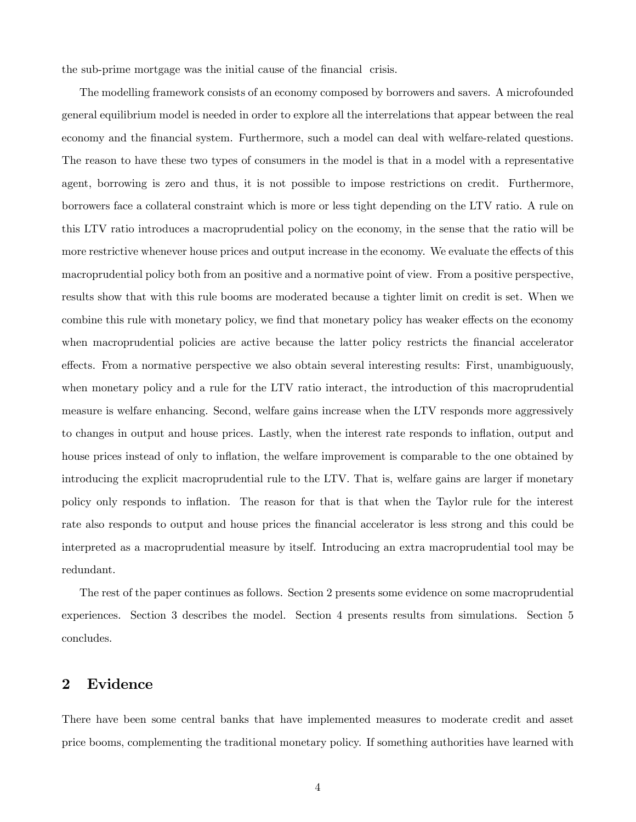the sub-prime mortgage was the initial cause of the financial crisis.

The modelling framework consists of an economy composed by borrowers and savers. A microfounded general equilibrium model is needed in order to explore all the interrelations that appear between the real economy and the financial system. Furthermore, such a model can deal with welfare-related questions. The reason to have these two types of consumers in the model is that in a model with a representative agent, borrowing is zero and thus, it is not possible to impose restrictions on credit. Furthermore, borrowers face a collateral constraint which is more or less tight depending on the LTV ratio. A rule on this LTV ratio introduces a macroprudential policy on the economy, in the sense that the ratio will be more restrictive whenever house prices and output increase in the economy. We evaluate the effects of this macroprudential policy both from an positive and a normative point of view. From a positive perspective, results show that with this rule booms are moderated because a tighter limit on credit is set. When we combine this rule with monetary policy, we find that monetary policy has weaker effects on the economy when macroprudential policies are active because the latter policy restricts the financial accelerator effects. From a normative perspective we also obtain several interesting results: First, unambiguously, when monetary policy and a rule for the LTV ratio interact, the introduction of this macroprudential measure is welfare enhancing. Second, welfare gains increase when the LTV responds more aggressively to changes in output and house prices. Lastly, when the interest rate responds to inflation, output and house prices instead of only to inflation, the welfare improvement is comparable to the one obtained by introducing the explicit macroprudential rule to the LTV. That is, welfare gains are larger if monetary policy only responds to ináation. The reason for that is that when the Taylor rule for the interest rate also responds to output and house prices the financial accelerator is less strong and this could be interpreted as a macroprudential measure by itself. Introducing an extra macroprudential tool may be redundant.

The rest of the paper continues as follows. Section 2 presents some evidence on some macroprudential experiences. Section 3 describes the model. Section 4 presents results from simulations. Section 5 concludes.

## 2 Evidence

There have been some central banks that have implemented measures to moderate credit and asset price booms, complementing the traditional monetary policy. If something authorities have learned with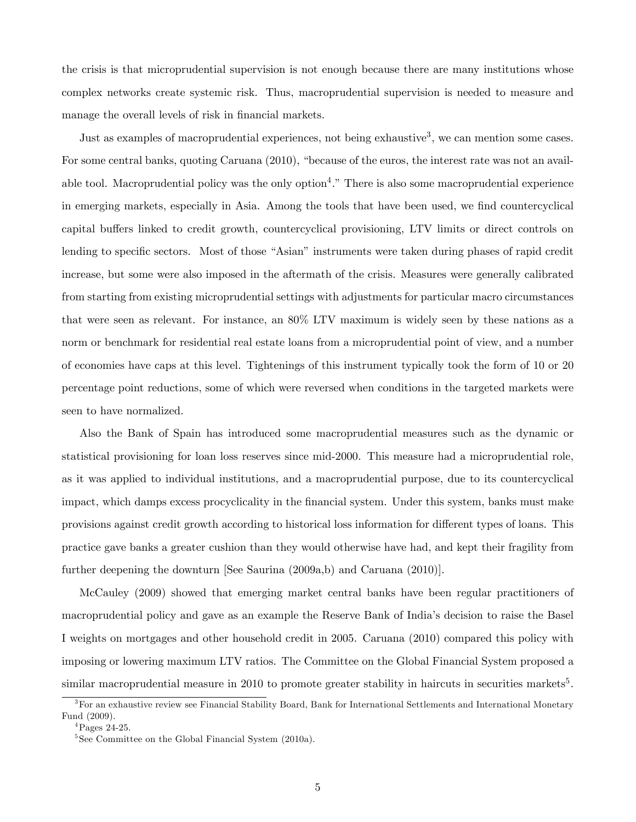the crisis is that microprudential supervision is not enough because there are many institutions whose complex networks create systemic risk. Thus, macroprudential supervision is needed to measure and manage the overall levels of risk in financial markets.

Just as examples of macroprudential experiences, not being exhaustive<sup>3</sup>, we can mention some cases. For some central banks, quoting Caruana (2010), "because of the euros, the interest rate was not an available tool. Macroprudential policy was the only option<sup>4</sup>." There is also some macroprudential experience in emerging markets, especially in Asia. Among the tools that have been used, we find countercyclical capital buffers linked to credit growth, countercyclical provisioning, LTV limits or direct controls on lending to specific sectors. Most of those "Asian" instruments were taken during phases of rapid credit increase, but some were also imposed in the aftermath of the crisis. Measures were generally calibrated from starting from existing microprudential settings with adjustments for particular macro circumstances that were seen as relevant. For instance, an 80% LTV maximum is widely seen by these nations as a norm or benchmark for residential real estate loans from a microprudential point of view, and a number of economies have caps at this level. Tightenings of this instrument typically took the form of 10 or 20 percentage point reductions, some of which were reversed when conditions in the targeted markets were seen to have normalized.

Also the Bank of Spain has introduced some macroprudential measures such as the dynamic or statistical provisioning for loan loss reserves since mid-2000. This measure had a microprudential role, as it was applied to individual institutions, and a macroprudential purpose, due to its countercyclical impact, which damps excess procyclicality in the Önancial system. Under this system, banks must make provisions against credit growth according to historical loss information for different types of loans. This practice gave banks a greater cushion than they would otherwise have had, and kept their fragility from further deepening the downturn [See Saurina (2009a,b) and Caruana (2010)].

McCauley (2009) showed that emerging market central banks have been regular practitioners of macroprudential policy and gave as an example the Reserve Bank of Indiaís decision to raise the Basel I weights on mortgages and other household credit in 2005. Caruana (2010) compared this policy with imposing or lowering maximum LTV ratios. The Committee on the Global Financial System proposed a similar macroprudential measure in 2010 to promote greater stability in haircuts in securities markets<sup>5</sup>.

<sup>&</sup>lt;sup>3</sup>For an exhaustive review see Financial Stability Board, Bank for International Settlements and International Monetary Fund (2009).

 ${}^{4}$ Pages 24-25.

<sup>5</sup> See Committee on the Global Financial System (2010a).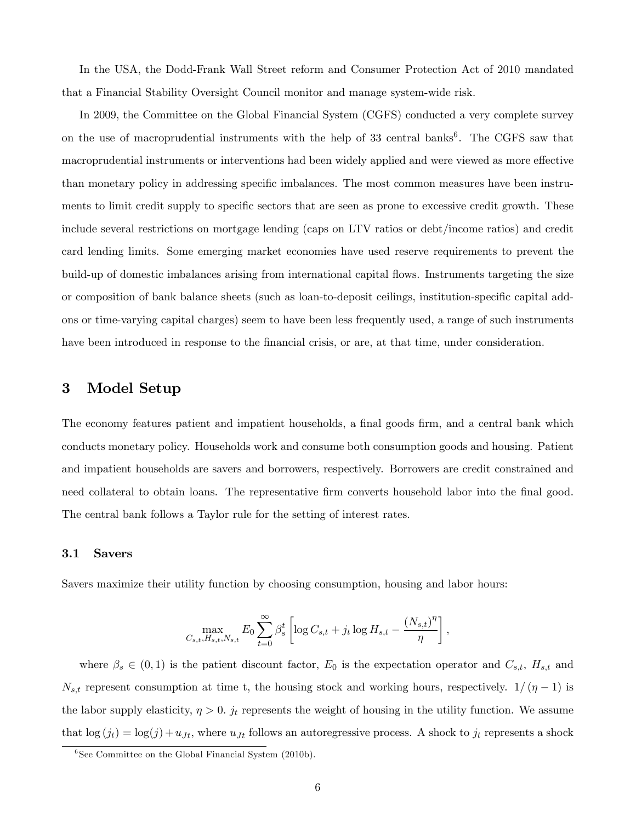In the USA, the Dodd-Frank Wall Street reform and Consumer Protection Act of 2010 mandated that a Financial Stability Oversight Council monitor and manage system-wide risk.

In 2009, the Committee on the Global Financial System (CGFS) conducted a very complete survey on the use of macroprudential instruments with the help of  $33$  central banks<sup>6</sup>. The CGFS saw that macroprudential instruments or interventions had been widely applied and were viewed as more effective than monetary policy in addressing specific imbalances. The most common measures have been instruments to limit credit supply to specific sectors that are seen as prone to excessive credit growth. These include several restrictions on mortgage lending (caps on LTV ratios or debt/income ratios) and credit card lending limits. Some emerging market economies have used reserve requirements to prevent the build-up of domestic imbalances arising from international capital flows. Instruments targeting the size or composition of bank balance sheets (such as loan-to-deposit ceilings, institution-specific capital addons or time-varying capital charges) seem to have been less frequently used, a range of such instruments have been introduced in response to the financial crisis, or are, at that time, under consideration.

## 3 Model Setup

The economy features patient and impatient households, a final goods firm, and a central bank which conducts monetary policy. Households work and consume both consumption goods and housing. Patient and impatient households are savers and borrowers, respectively. Borrowers are credit constrained and need collateral to obtain loans. The representative firm converts household labor into the final good. The central bank follows a Taylor rule for the setting of interest rates.

#### 3.1 Savers

Savers maximize their utility function by choosing consumption, housing and labor hours:

$$
\max_{C_{s,t}, H_{s,t}, N_{s,t}} E_0 \sum_{t=0}^{\infty} \beta_s^t \left[ \log C_{s,t} + j_t \log H_{s,t} - \frac{(N_{s,t})^{\eta}}{\eta} \right],
$$

where  $\beta_s \in (0,1)$  is the patient discount factor,  $E_0$  is the expectation operator and  $C_{s,t}$ ,  $H_{s,t}$  and  $N_{s,t}$  represent consumption at time t, the housing stock and working hours, respectively.  $1/( \eta - 1)$  is the labor supply elasticity,  $\eta > 0$ .  $j_t$  represents the weight of housing in the utility function. We assume that  $\log(j_t) = \log(j) + u_{Jt}$ , where  $u_{Jt}$  follows an autoregressive process. A shock to  $j_t$  represents a shock

<sup>&</sup>lt;sup>6</sup>See Committee on the Global Financial System (2010b).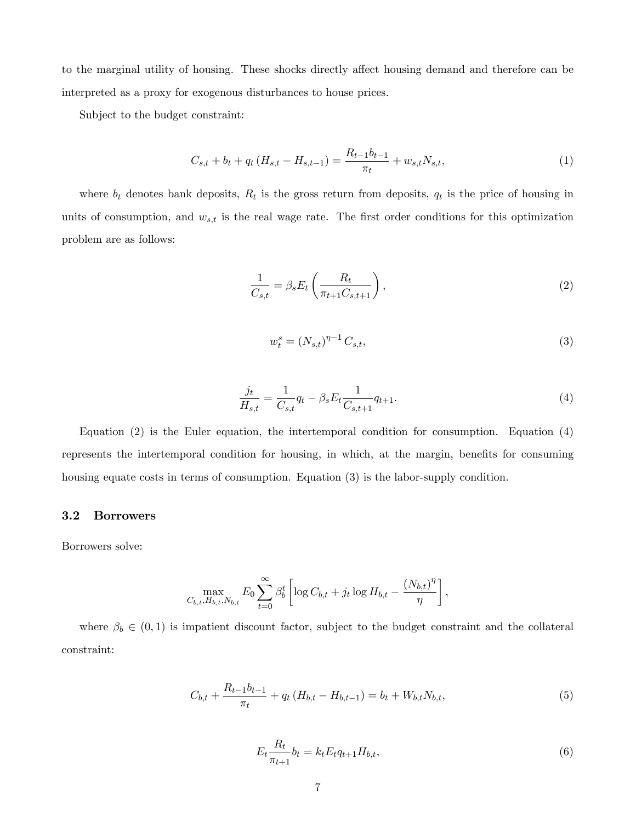to the marginal utility of housing. These shocks directly affect housing demand and therefore can be interpreted as a proxy for exogenous disturbances to house prices.

Subject to the budget constraint:

$$
C_{s,t} + b_t + q_t (H_{s,t} - H_{s,t-1}) = \frac{R_{t-1}b_{t-1}}{\pi_t} + w_{s,t}N_{s,t},
$$
\n(1)

where  $b_t$  denotes bank deposits,  $R_t$  is the gross return from deposits,  $q_t$  is the price of housing in units of consumption, and  $w_{s,t}$  is the real wage rate. The first order conditions for this optimization problem are as follows:

$$
\frac{1}{C_{s,t}} = \beta_s E_t \left( \frac{R_t}{\pi_{t+1} C_{s,t+1}} \right),\tag{2}
$$

$$
w_t^s = (N_{s,t})^{\eta - 1} C_{s,t},\tag{3}
$$

$$
\frac{j_t}{H_{s,t}} = \frac{1}{C_{s,t}} q_t - \beta_s E_t \frac{1}{C_{s,t+1}} q_{t+1}.
$$
\n(4)

Equation (2) is the Euler equation, the intertemporal condition for consumption. Equation (4) represents the intertemporal condition for housing, in which, at the margin, benefits for consuming housing equate costs in terms of consumption. Equation (3) is the labor-supply condition.

#### 3.2 Borrowers

Borrowers solve:

$$
\max_{C_{b,t}, H_{b,t}, N_{b,t}} E_0 \sum_{t=0}^{\infty} \beta_b^t \left[ \log C_{b,t} + j_t \log H_{b,t} - \frac{(N_{b,t})^{\eta}}{\eta} \right],
$$

where  $\beta_b \in (0, 1)$  is impatient discount factor, subject to the budget constraint and the collateral constraint:

$$
C_{b,t} + \frac{R_{t-1}b_{t-1}}{\pi_t} + q_t (H_{b,t} - H_{b,t-1}) = b_t + W_{b,t}N_{b,t},
$$
\n
$$
\tag{5}
$$

$$
E_t \frac{R_t}{\pi_{t+1}} b_t = k_t E_t q_{t+1} H_{b,t},
$$
\n(6)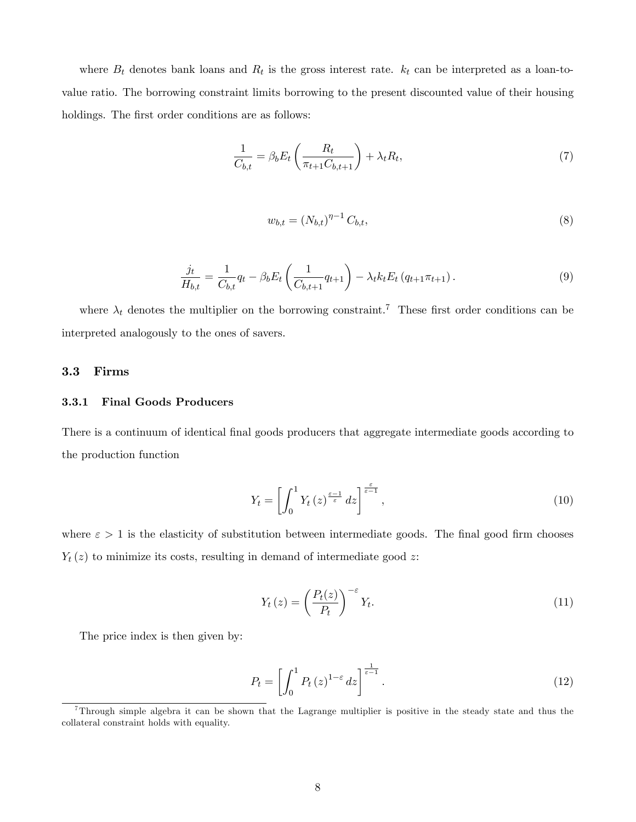where  $B_t$  denotes bank loans and  $R_t$  is the gross interest rate.  $k_t$  can be interpreted as a loan-tovalue ratio. The borrowing constraint limits borrowing to the present discounted value of their housing holdings. The first order conditions are as follows:

$$
\frac{1}{C_{b,t}} = \beta_b E_t \left( \frac{R_t}{\pi_{t+1} C_{b,t+1}} \right) + \lambda_t R_t,
$$
\n(7)

$$
w_{b,t} = (N_{b,t})^{\eta - 1} C_{b,t},
$$
\n(8)

$$
\frac{j_t}{H_{b,t}} = \frac{1}{C_{b,t}} q_t - \beta_b E_t \left( \frac{1}{C_{b,t+1}} q_{t+1} \right) - \lambda_t k_t E_t \left( q_{t+1} \pi_{t+1} \right). \tag{9}
$$

where  $\lambda_t$  denotes the multiplier on the borrowing constraint.<sup>7</sup> These first order conditions can be interpreted analogously to the ones of savers.

#### 3.3 Firms

#### 3.3.1 Final Goods Producers

There is a continuum of identical final goods producers that aggregate intermediate goods according to the production function

$$
Y_t = \left[ \int_0^1 Y_t(z)^{\frac{\varepsilon - 1}{\varepsilon}} dz \right]^{\frac{\varepsilon}{\varepsilon - 1}},\tag{10}
$$

where  $\varepsilon > 1$  is the elasticity of substitution between intermediate goods. The final good firm chooses  $Y_t(z)$  to minimize its costs, resulting in demand of intermediate good z:

$$
Y_t(z) = \left(\frac{P_t(z)}{P_t}\right)^{-\varepsilon} Y_t.
$$
\n(11)

The price index is then given by:

$$
P_t = \left[ \int_0^1 P_t(z)^{1-\varepsilon} dz \right]^{\frac{1}{\varepsilon-1}}.
$$
\n(12)

<sup>7</sup>Through simple algebra it can be shown that the Lagrange multiplier is positive in the steady state and thus the collateral constraint holds with equality.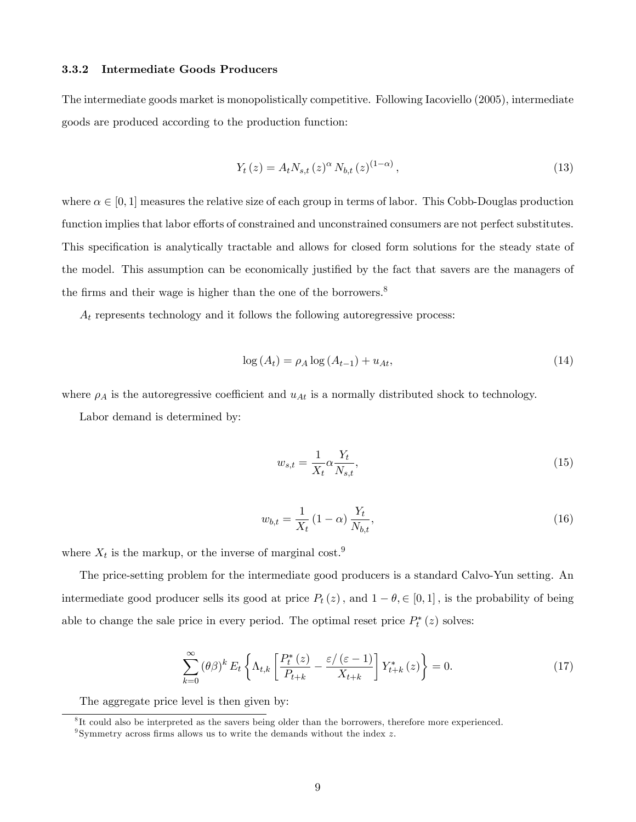#### 3.3.2 Intermediate Goods Producers

The intermediate goods market is monopolistically competitive. Following Iacoviello (2005), intermediate goods are produced according to the production function:

$$
Y_t(z) = A_t N_{s,t}(z)^{\alpha} N_{b,t}(z)^{(1-\alpha)},
$$
\n(13)

where  $\alpha \in [0, 1]$  measures the relative size of each group in terms of labor. This Cobb-Douglas production function implies that labor efforts of constrained and unconstrained consumers are not perfect substitutes. This specification is analytically tractable and allows for closed form solutions for the steady state of the model. This assumption can be economically justified by the fact that savers are the managers of the firms and their wage is higher than the one of the borrowers.<sup>8</sup>

 $A_t$  represents technology and it follows the following autoregressive process:

$$
\log\left(A_t\right) = \rho_A \log\left(A_{t-1}\right) + u_{At},\tag{14}
$$

where  $\rho_A$  is the autoregressive coefficient and  $u_{At}$  is a normally distributed shock to technology.

Labor demand is determined by:

$$
w_{s,t} = \frac{1}{X_t} \alpha \frac{Y_t}{N_{s,t}},\tag{15}
$$

$$
w_{b,t} = \frac{1}{X_t} (1 - \alpha) \frac{Y_t}{N_{b,t}},
$$
\n(16)

where  $X_t$  is the markup, or the inverse of marginal cost.<sup>9</sup>

The price-setting problem for the intermediate good producers is a standard Calvo-Yun setting. An intermediate good producer sells its good at price  $P_t(z)$ , and  $1 - \theta \in [0, 1]$ , is the probability of being able to change the sale price in every period. The optimal reset price  $P_t^*(z)$  solves:

$$
\sum_{k=0}^{\infty} (\theta \beta)^k E_t \left\{ \Lambda_{t,k} \left[ \frac{P_t^*(z)}{P_{t+k}} - \frac{\varepsilon/(\varepsilon - 1)}{X_{t+k}} \right] Y_{t+k}^*(z) \right\} = 0. \tag{17}
$$

The aggregate price level is then given by:

<sup>&</sup>lt;sup>8</sup>It could also be interpreted as the savers being older than the borrowers, therefore more experienced.

<sup>&</sup>lt;sup>9</sup>Symmetry across firms allows us to write the demands without the index  $z$ .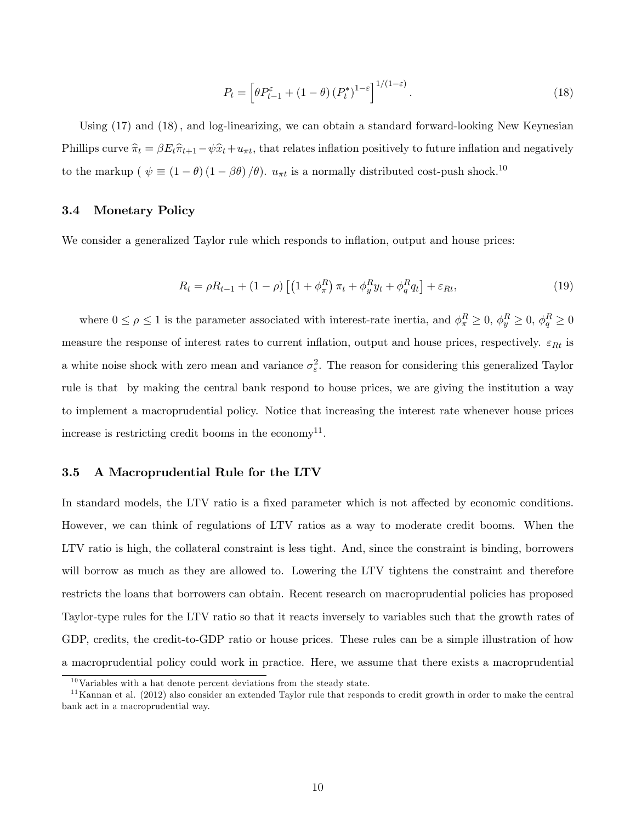$$
P_t = \left[\theta P_{t-1}^{\varepsilon} + (1 - \theta) (P_t^*)^{1-\varepsilon}\right]^{1/(1-\varepsilon)}.
$$
\n(18)

Using  $(17)$  and  $(18)$ , and log-linearizing, we can obtain a standard forward-looking New Keynesian Phillips curve  $\hat{\pi}_t = \beta E_t \hat{\pi}_{t+1} - \psi \hat{x}_t + u_{\pi t}$ , that relates inflation positively to future inflation and negatively to the markup ( $\psi \equiv (1 - \theta) (1 - \beta \theta) / \theta$ ).  $u_{\pi t}$  is a normally distributed cost-push shock.<sup>10</sup>

#### 3.4 Monetary Policy

We consider a generalized Taylor rule which responds to inflation, output and house prices:

$$
R_t = \rho R_{t-1} + (1 - \rho) \left[ \left( 1 + \phi_\pi^R \right) \pi_t + \phi_y^R y_t + \phi_q^R q_t \right] + \varepsilon_{Rt},\tag{19}
$$

where  $0 \le \rho \le 1$  is the parameter associated with interest-rate inertia, and  $\phi_{\pi}^R \ge 0$ ,  $\phi_{y}^R \ge 0$ ,  $\phi_{q}^R \ge 0$ measure the response of interest rates to current inflation, output and house prices, respectively.  $\varepsilon_{Rt}$  is a white noise shock with zero mean and variance  $\sigma_{\varepsilon}^2$ . The reason for considering this generalized Taylor rule is that by making the central bank respond to house prices, we are giving the institution a way to implement a macroprudential policy. Notice that increasing the interest rate whenever house prices increase is restricting credit booms in the economy<sup>11</sup>.

#### 3.5 A Macroprudential Rule for the LTV

In standard models, the LTV ratio is a fixed parameter which is not affected by economic conditions. However, we can think of regulations of LTV ratios as a way to moderate credit booms. When the LTV ratio is high, the collateral constraint is less tight. And, since the constraint is binding, borrowers will borrow as much as they are allowed to. Lowering the LTV tightens the constraint and therefore restricts the loans that borrowers can obtain. Recent research on macroprudential policies has proposed Taylor-type rules for the LTV ratio so that it reacts inversely to variables such that the growth rates of GDP, credits, the credit-to-GDP ratio or house prices. These rules can be a simple illustration of how a macroprudential policy could work in practice. Here, we assume that there exists a macroprudential

 $10$ Variables with a hat denote percent deviations from the steady state.

 $11$ Kannan et al. (2012) also consider an extended Taylor rule that responds to credit growth in order to make the central bank act in a macroprudential way.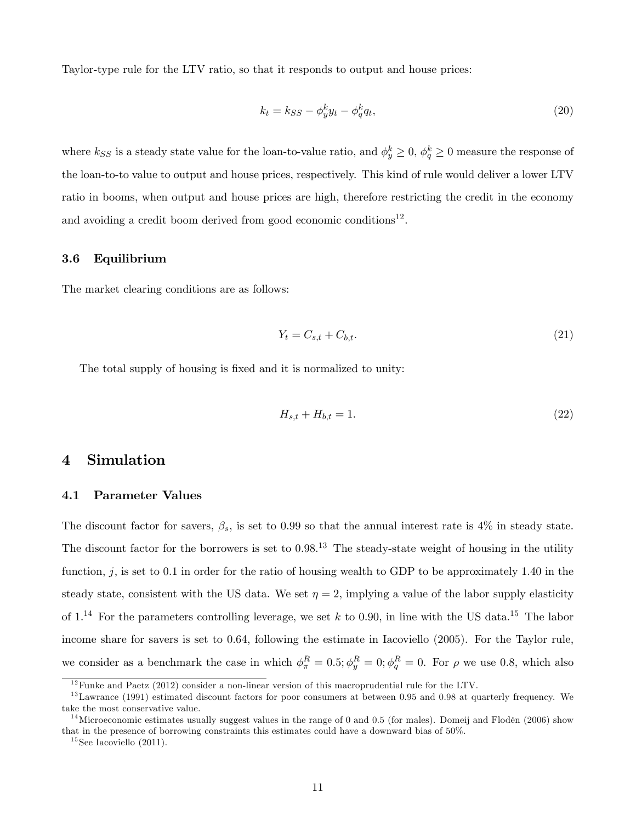Taylor-type rule for the LTV ratio, so that it responds to output and house prices:

$$
k_t = k_{SS} - \phi_y^k y_t - \phi_q^k q_t, \qquad (20)
$$

where  $k_{SS}$  is a steady state value for the loan-to-value ratio, and  $\phi_y^k \ge 0$ ,  $\phi_q^k \ge 0$  measure the response of the loan-to-to value to output and house prices, respectively. This kind of rule would deliver a lower LTV ratio in booms, when output and house prices are high, therefore restricting the credit in the economy and avoiding a credit boom derived from good economic conditions<sup>12</sup>.

#### 3.6 Equilibrium

The market clearing conditions are as follows:

$$
Y_t = C_{s,t} + C_{b,t}.\tag{21}
$$

The total supply of housing is fixed and it is normalized to unity:

$$
H_{s,t} + H_{b,t} = 1.
$$
\n(22)

### 4 Simulation

#### 4.1 Parameter Values

The discount factor for savers,  $\beta_s$ , is set to 0.99 so that the annual interest rate is 4% in steady state. The discount factor for the borrowers is set to  $0.98<sup>13</sup>$ . The steady-state weight of housing in the utility function,  $j$ , is set to 0.1 in order for the ratio of housing wealth to GDP to be approximately 1.40 in the steady state, consistent with the US data. We set  $\eta = 2$ , implying a value of the labor supply elasticity of  $1^{14}$  For the parameters controlling leverage, we set k to 0.90, in line with the US data.<sup>15</sup> The labor income share for savers is set to 0.64, following the estimate in Iacoviello (2005). For the Taylor rule, we consider as a benchmark the case in which  $\phi_{\pi}^{R} = 0.5$ ;  $\phi_{y}^{R} = 0$ ;  $\phi_{q}^{R} = 0$ . For  $\rho$  we use 0.8, which also

 $12$  Funke and Paetz (2012) consider a non-linear version of this macroprudential rule for the LTV.

 $13$ Lawrance (1991) estimated discount factors for poor consumers at between 0.95 and 0.98 at quarterly frequency. We take the most conservative value.

<sup>&</sup>lt;sup>14</sup>Microeconomic estimates usually suggest values in the range of 0 and 0.5 (for males). Domeij and Flodén (2006) show that in the presence of borrowing constraints this estimates could have a downward bias of 50%.

 $15$ See Iacoviello (2011).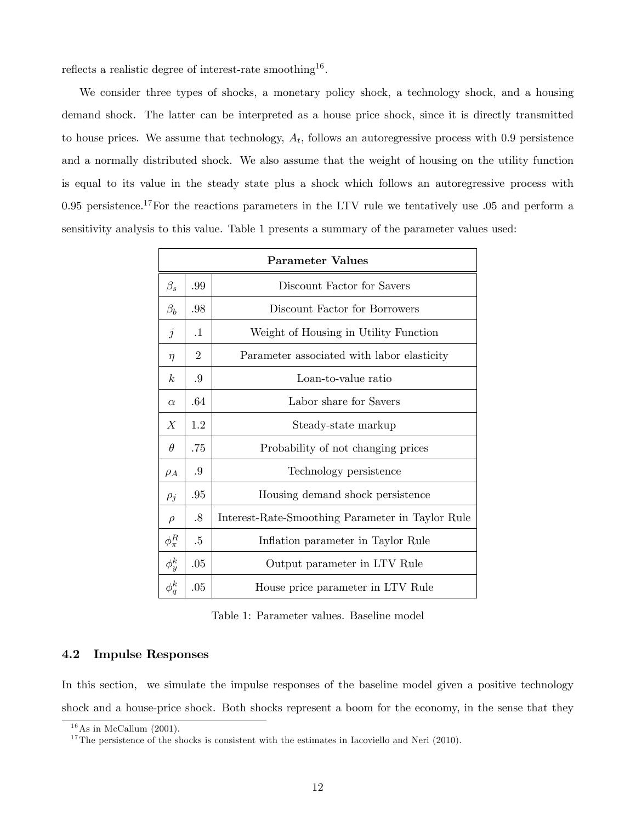reflects a realistic degree of interest-rate smoothing<sup>16</sup>.

We consider three types of shocks, a monetary policy shock, a technology shock, and a housing demand shock. The latter can be interpreted as a house price shock, since it is directly transmitted to house prices. We assume that technology,  $A_t$ , follows an autoregressive process with 0.9 persistence and a normally distributed shock. We also assume that the weight of housing on the utility function is equal to its value in the steady state plus a shock which follows an autoregressive process with 0.95 persistence.<sup>17</sup>For the reactions parameters in the LTV rule we tentatively use  $.05$  and perform a sensitivity analysis to this value. Table 1 presents a summary of the parameter values used:

| <b>Parameter Values</b> |                |                                                  |  |  |
|-------------------------|----------------|--------------------------------------------------|--|--|
| $\beta_s$               | .99            | Discount Factor for Savers                       |  |  |
| $\beta_b$               | .98            | Discount Factor for Borrowers                    |  |  |
| $\dot{j}$               | $\cdot$ 1      | Weight of Housing in Utility Function            |  |  |
| $\eta$                  | $\overline{2}$ | Parameter associated with labor elasticity       |  |  |
| k <sub>i</sub>          | .9             | Loan-to-value ratio                              |  |  |
| $\alpha$                | .64            | Labor share for Savers                           |  |  |
| $\boldsymbol{X}$        | 1.2            | Steady-state markup                              |  |  |
| $\theta$                | .75            | Probability of not changing prices               |  |  |
| $\rho_A$                | .9             | Technology persistence                           |  |  |
| $\rho_j$                | .95            | Housing demand shock persistence                 |  |  |
| $\rho$                  | .8             | Interest-Rate-Smoothing Parameter in Taylor Rule |  |  |
| $\phi_\pi^R$            | $.5\,$         | Inflation parameter in Taylor Rule               |  |  |
| $\phi_y^k$              | .05            | Output parameter in LTV Rule                     |  |  |
| $\phi_q^k$              | .05            | House price parameter in LTV Rule                |  |  |

Table 1: Parameter values. Baseline model

#### 4.2 Impulse Responses

In this section, we simulate the impulse responses of the baseline model given a positive technology shock and a house-price shock. Both shocks represent a boom for the economy, in the sense that they

 $16$ As in McCallum (2001).

 $17$ The persistence of the shocks is consistent with the estimates in Iacoviello and Neri (2010).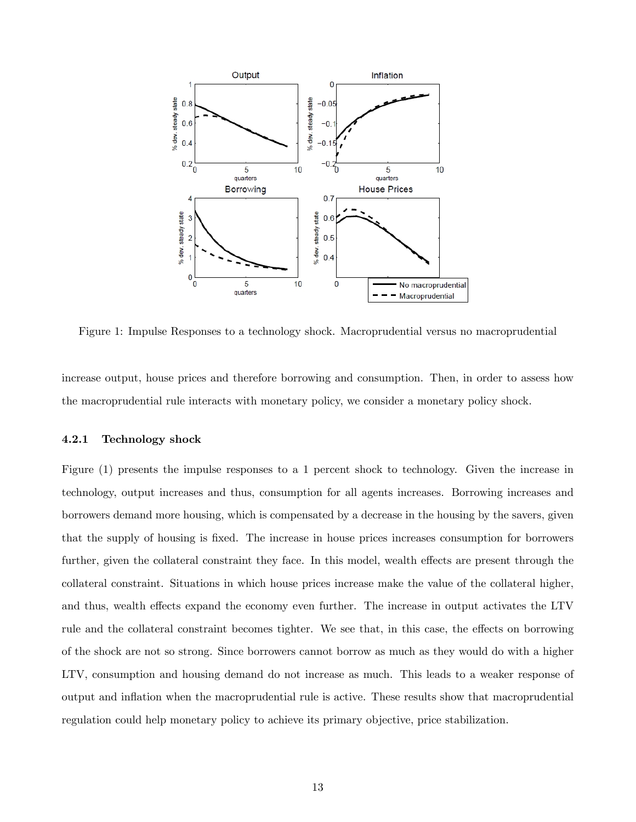

Figure 1: Impulse Responses to a technology shock. Macroprudential versus no macroprudential

increase output, house prices and therefore borrowing and consumption. Then, in order to assess how the macroprudential rule interacts with monetary policy, we consider a monetary policy shock.

#### 4.2.1 Technology shock

Figure (1) presents the impulse responses to a 1 percent shock to technology. Given the increase in technology, output increases and thus, consumption for all agents increases. Borrowing increases and borrowers demand more housing, which is compensated by a decrease in the housing by the savers, given that the supply of housing is Öxed. The increase in house prices increases consumption for borrowers further, given the collateral constraint they face. In this model, wealth effects are present through the collateral constraint. Situations in which house prices increase make the value of the collateral higher, and thus, wealth effects expand the economy even further. The increase in output activates the LTV rule and the collateral constraint becomes tighter. We see that, in this case, the effects on borrowing of the shock are not so strong. Since borrowers cannot borrow as much as they would do with a higher LTV, consumption and housing demand do not increase as much. This leads to a weaker response of output and ináation when the macroprudential rule is active. These results show that macroprudential regulation could help monetary policy to achieve its primary objective, price stabilization.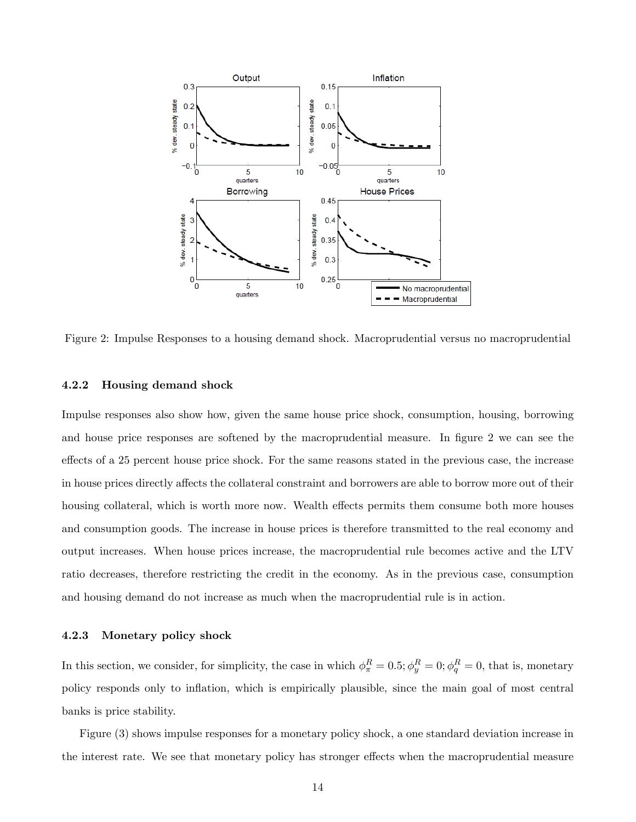

Figure 2: Impulse Responses to a housing demand shock. Macroprudential versus no macroprudential

#### 4.2.2 Housing demand shock

Impulse responses also show how, given the same house price shock, consumption, housing, borrowing and house price responses are softened by the macroprudential measure. In figure 2 we can see the effects of a 25 percent house price shock. For the same reasons stated in the previous case, the increase in house prices directly affects the collateral constraint and borrowers are able to borrow more out of their housing collateral, which is worth more now. Wealth effects permits them consume both more houses and consumption goods. The increase in house prices is therefore transmitted to the real economy and output increases. When house prices increase, the macroprudential rule becomes active and the LTV ratio decreases, therefore restricting the credit in the economy. As in the previous case, consumption and housing demand do not increase as much when the macroprudential rule is in action.

#### 4.2.3 Monetary policy shock

In this section, we consider, for simplicity, the case in which  $\phi_{\pi}^{R} = 0.5$ ;  $\phi_{y}^{R} = 0$ ;  $\phi_{q}^{R} = 0$ , that is, monetary policy responds only to ináation, which is empirically plausible, since the main goal of most central banks is price stability.

Figure (3) shows impulse responses for a monetary policy shock, a one standard deviation increase in the interest rate. We see that monetary policy has stronger effects when the macroprudential measure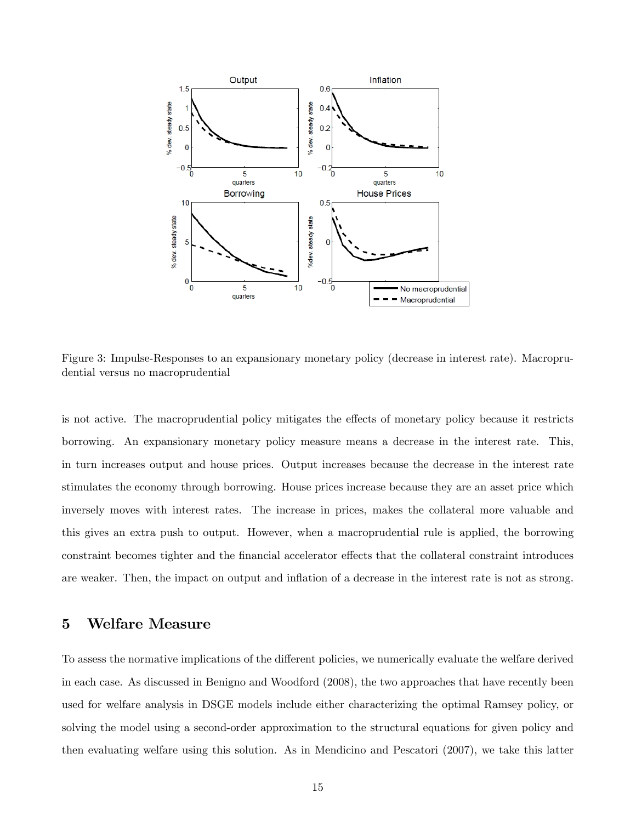

Figure 3: Impulse-Responses to an expansionary monetary policy (decrease in interest rate). Macroprudential versus no macroprudential

is not active. The macroprudential policy mitigates the effects of monetary policy because it restricts borrowing. An expansionary monetary policy measure means a decrease in the interest rate. This, in turn increases output and house prices. Output increases because the decrease in the interest rate stimulates the economy through borrowing. House prices increase because they are an asset price which inversely moves with interest rates. The increase in prices, makes the collateral more valuable and this gives an extra push to output. However, when a macroprudential rule is applied, the borrowing constraint becomes tighter and the financial accelerator effects that the collateral constraint introduces are weaker. Then, the impact on output and inflation of a decrease in the interest rate is not as strong.

## 5 Welfare Measure

To assess the normative implications of the different policies, we numerically evaluate the welfare derived in each case. As discussed in Benigno and Woodford (2008), the two approaches that have recently been used for welfare analysis in DSGE models include either characterizing the optimal Ramsey policy, or solving the model using a second-order approximation to the structural equations for given policy and then evaluating welfare using this solution. As in Mendicino and Pescatori (2007), we take this latter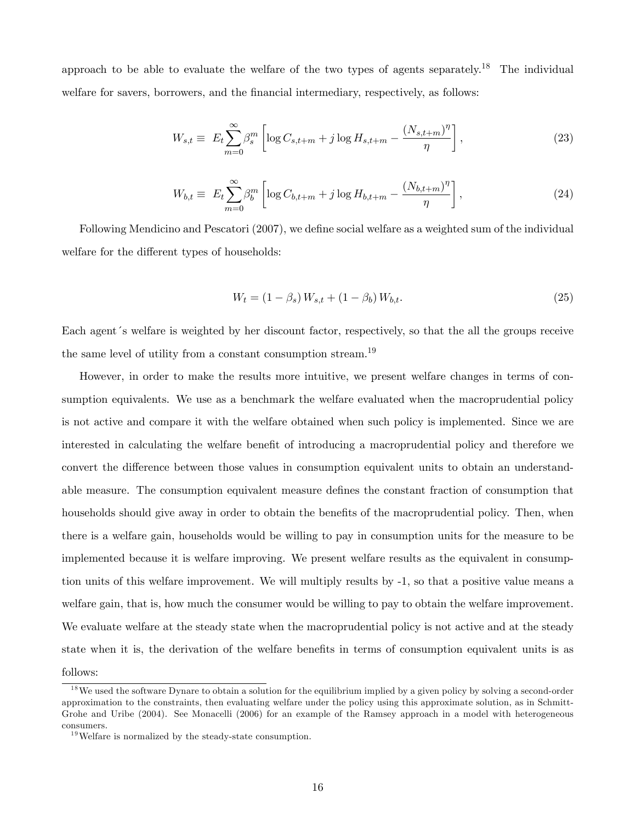approach to be able to evaluate the welfare of the two types of agents separately.<sup>18</sup> The individual welfare for savers, borrowers, and the financial intermediary, respectively, as follows:

$$
W_{s,t} \equiv E_t \sum_{m=0}^{\infty} \beta_s^m \left[ \log C_{s,t+m} + j \log H_{s,t+m} - \frac{(N_{s,t+m})^{\eta}}{\eta} \right],
$$
 (23)

$$
W_{b,t} \equiv E_t \sum_{m=0}^{\infty} \beta_b^m \left[ \log C_{b,t+m} + j \log H_{b,t+m} - \frac{(N_{b,t+m})^{\eta}}{\eta} \right],
$$
 (24)

Following Mendicino and Pescatori (2007), we define social welfare as a weighted sum of the individual welfare for the different types of households:

$$
W_t = (1 - \beta_s) W_{s,t} + (1 - \beta_b) W_{b,t}.
$$
\n(25)

Each agent 's welfare is weighted by her discount factor, respectively, so that the all the groups receive the same level of utility from a constant consumption stream.<sup>19</sup>

However, in order to make the results more intuitive, we present welfare changes in terms of consumption equivalents. We use as a benchmark the welfare evaluated when the macroprudential policy is not active and compare it with the welfare obtained when such policy is implemented. Since we are interested in calculating the welfare benefit of introducing a macroprudential policy and therefore we convert the difference between those values in consumption equivalent units to obtain an understandable measure. The consumption equivalent measure defines the constant fraction of consumption that households should give away in order to obtain the benefits of the macroprudential policy. Then, when there is a welfare gain, households would be willing to pay in consumption units for the measure to be implemented because it is welfare improving. We present welfare results as the equivalent in consumption units of this welfare improvement. We will multiply results by -1, so that a positive value means a welfare gain, that is, how much the consumer would be willing to pay to obtain the welfare improvement. We evaluate welfare at the steady state when the macroprudential policy is not active and at the steady state when it is, the derivation of the welfare benefits in terms of consumption equivalent units is as follows:

<sup>&</sup>lt;sup>18</sup>We used the software Dynare to obtain a solution for the equilibrium implied by a given policy by solving a second-order approximation to the constraints, then evaluating welfare under the policy using this approximate solution, as in Schmitt-Grohe and Uribe (2004). See Monacelli (2006) for an example of the Ramsey approach in a model with heterogeneous consumers.

 $19$  Welfare is normalized by the steady-state consumption.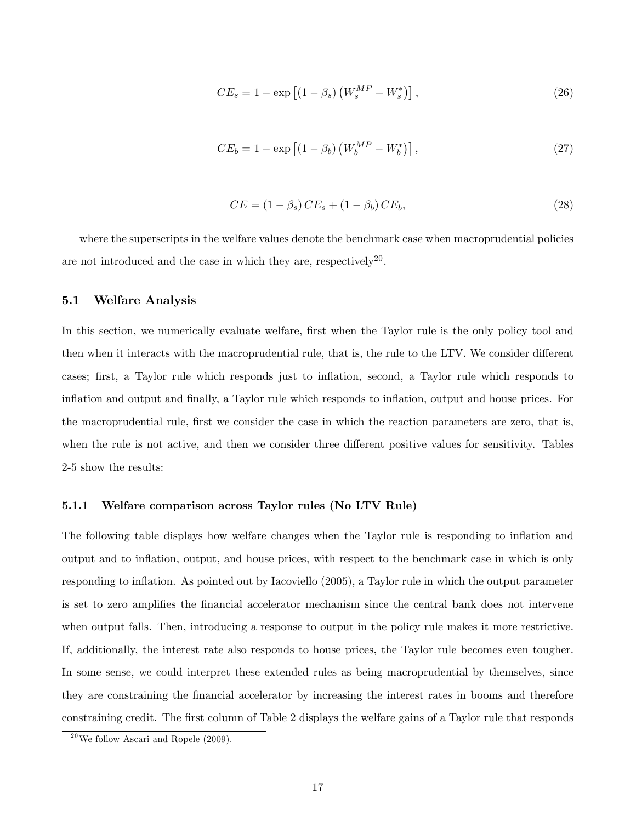$$
CE_s = 1 - \exp\left[ (1 - \beta_s) \left( W_s^{MP} - W_s^* \right) \right],\tag{26}
$$

$$
CE_b = 1 - \exp\left[ (1 - \beta_b) \left( W_b^{MP} - W_b^* \right) \right], \tag{27}
$$

$$
CE = (1 - \beta_s) CE_s + (1 - \beta_b) CE_b,
$$
\n(28)

where the superscripts in the welfare values denote the benchmark case when macroprudential policies are not introduced and the case in which they are, respectively<sup>20</sup>.

#### 5.1 Welfare Analysis

In this section, we numerically evaluate welfare, first when the Taylor rule is the only policy tool and then when it interacts with the macroprudential rule, that is, the rule to the LTV. We consider different cases; first, a Taylor rule which responds just to inflation, second, a Taylor rule which responds to inflation and output and finally, a Taylor rule which responds to inflation, output and house prices. For the macroprudential rule, first we consider the case in which the reaction parameters are zero, that is, when the rule is not active, and then we consider three different positive values for sensitivity. Tables 2-5 show the results:

#### 5.1.1 Welfare comparison across Taylor rules (No LTV Rule)

The following table displays how welfare changes when the Taylor rule is responding to inflation and output and to ináation, output, and house prices, with respect to the benchmark case in which is only responding to inflation. As pointed out by Iacoviello (2005), a Taylor rule in which the output parameter is set to zero amplifies the financial accelerator mechanism since the central bank does not intervene when output falls. Then, introducing a response to output in the policy rule makes it more restrictive. If, additionally, the interest rate also responds to house prices, the Taylor rule becomes even tougher. In some sense, we could interpret these extended rules as being macroprudential by themselves, since they are constraining the Önancial accelerator by increasing the interest rates in booms and therefore constraining credit. The first column of Table 2 displays the welfare gains of a Taylor rule that responds

 $^{20}$ We follow Ascari and Ropele (2009).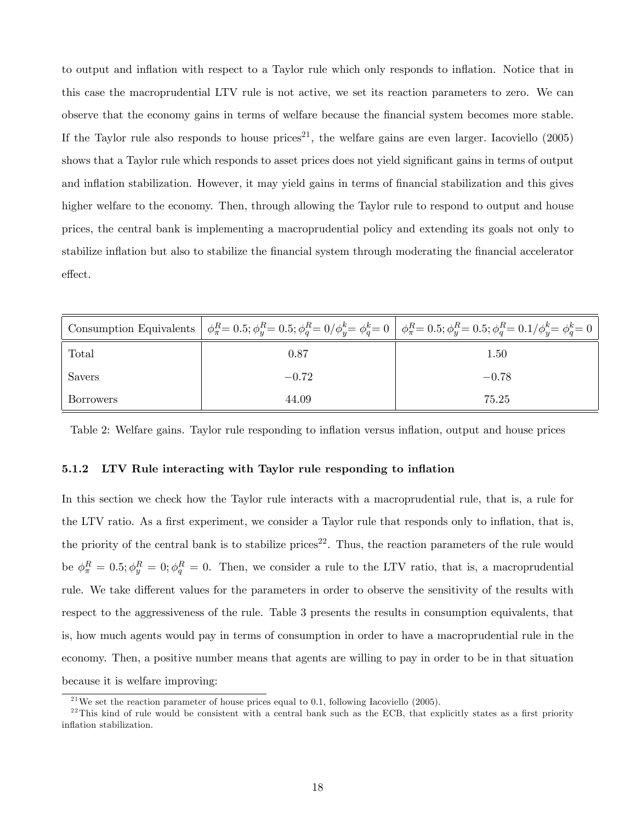to output and ináation with respect to a Taylor rule which only responds to ináation. Notice that in this case the macroprudential LTV rule is not active, we set its reaction parameters to zero. We can observe that the economy gains in terms of welfare because the Önancial system becomes more stable. If the Taylor rule also responds to house prices<sup>21</sup>, the welfare gains are even larger. Iacoviello  $(2005)$ shows that a Taylor rule which responds to asset prices does not yield significant gains in terms of output and inflation stabilization. However, it may yield gains in terms of financial stabilization and this gives higher welfare to the economy. Then, through allowing the Taylor rule to respond to output and house prices, the central bank is implementing a macroprudential policy and extending its goals not only to stabilize inflation but also to stabilize the financial system through moderating the financial accelerator effect.

|           |         | Consumption Equivalents $\phi_{\pi}^{R} = 0.5$ ; $\phi_{y}^{R} = 0.5$ ; $\phi_{q}^{R} = 0/\phi_{y}^{k} = \phi_{q}^{k} = 0$ $\phi_{\pi}^{R} = 0.5$ ; $\phi_{y}^{R} = 0.5$ ; $\phi_{q}^{R} = 0.1/\phi_{y}^{k} = \phi_{q}^{k} = 0$ |
|-----------|---------|---------------------------------------------------------------------------------------------------------------------------------------------------------------------------------------------------------------------------------|
| Total     | 0.87    | 1.50                                                                                                                                                                                                                            |
| Savers    | $-0.72$ | $-0.78$                                                                                                                                                                                                                         |
| Borrowers | 44.09   | 75.25                                                                                                                                                                                                                           |

Table 2: Welfare gains. Taylor rule responding to inflation versus inflation, output and house prices

#### 5.1.2 LTV Rule interacting with Taylor rule responding to inflation

In this section we check how the Taylor rule interacts with a macroprudential rule, that is, a rule for the LTV ratio. As a first experiment, we consider a Taylor rule that responds only to inflation, that is, the priority of the central bank is to stabilize prices<sup>22</sup>. Thus, the reaction parameters of the rule would be  $\phi_{\pi}^{R} = 0.5; \phi_{y}^{R} = 0; \phi_{q}^{R} = 0$ . Then, we consider a rule to the LTV ratio, that is, a macroprudential rule. We take different values for the parameters in order to observe the sensitivity of the results with respect to the aggressiveness of the rule. Table 3 presents the results in consumption equivalents, that is, how much agents would pay in terms of consumption in order to have a macroprudential rule in the economy. Then, a positive number means that agents are willing to pay in order to be in that situation because it is welfare improving:

 $^{21}$ We set the reaction parameter of house prices equal to 0.1, following Iacoviello (2005).

 $^{22}$ This kind of rule would be consistent with a central bank such as the ECB, that explicitly states as a first priority inflation stabilization.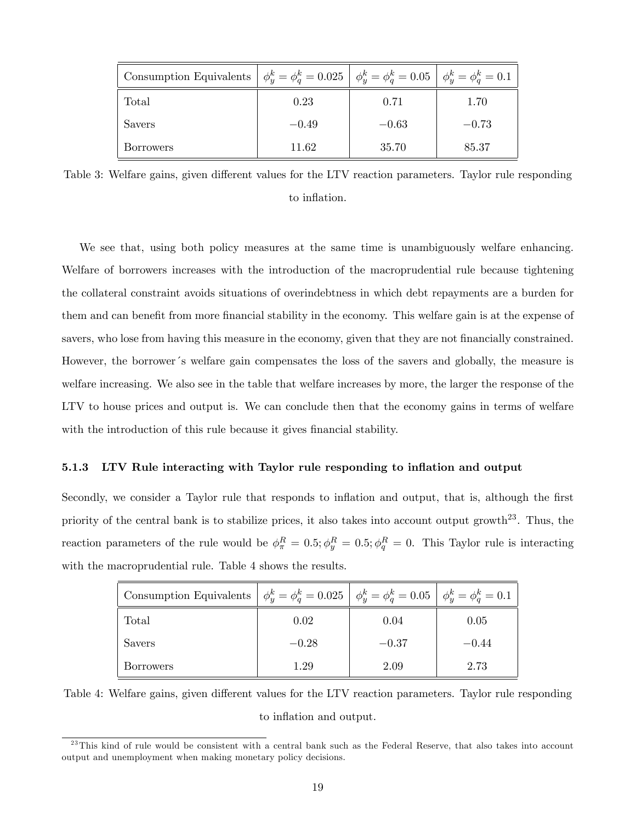| Consumption Equivalents | $\phi_u^k = \phi_a^k = 0.025 \mid \phi_u^k = \phi_a^k = 0.05 \mid \phi_u^k = \phi_a^k = 0.1$ |         |         |
|-------------------------|----------------------------------------------------------------------------------------------|---------|---------|
| Total                   | 0.23                                                                                         | 0.71    | 1.70    |
| Savers                  | $-0.49$                                                                                      | $-0.63$ | $-0.73$ |
| <b>Borrowers</b>        | 11.62                                                                                        | 35.70   | 85.37   |

Table 3: Welfare gains, given different values for the LTV reaction parameters. Taylor rule responding to inflation.

We see that, using both policy measures at the same time is unambiguously welfare enhancing. Welfare of borrowers increases with the introduction of the macroprudential rule because tightening the collateral constraint avoids situations of overindebtness in which debt repayments are a burden for them and can benefit from more financial stability in the economy. This welfare gain is at the expense of savers, who lose from having this measure in the economy, given that they are not financially constrained. However, the borrower's welfare gain compensates the loss of the savers and globally, the measure is welfare increasing. We also see in the table that welfare increases by more, the larger the response of the LTV to house prices and output is. We can conclude then that the economy gains in terms of welfare with the introduction of this rule because it gives financial stability.

#### 5.1.3 LTV Rule interacting with Taylor rule responding to inflation and output

Secondly, we consider a Taylor rule that responds to inflation and output, that is, although the first priority of the central bank is to stabilize prices, it also takes into account output growth<sup>23</sup>. Thus, the reaction parameters of the rule would be  $\phi_{\pi}^{R} = 0.5$ ;  $\phi_{y}^{R} = 0.5$ ;  $\phi_{q}^{R} = 0$ . This Taylor rule is interacting with the macroprudential rule. Table 4 shows the results.

| Consumption Equivalents $\phi_y^k = \phi_q^k = 0.025$ $\phi_y^k = \phi_q^k = 0.05$ $\phi_y^k = \phi_q^k = 0.1$ |         |         |         |
|----------------------------------------------------------------------------------------------------------------|---------|---------|---------|
| Total                                                                                                          | 0.02    | 0.04    | 0.05    |
| <b>Savers</b>                                                                                                  | $-0.28$ | $-0.37$ | $-0.44$ |
| <b>Borrowers</b>                                                                                               | 1.29    | 2.09    | 2.73    |

Table 4: Welfare gains, given different values for the LTV reaction parameters. Taylor rule responding to inflation and output.

 $^{23}$ This kind of rule would be consistent with a central bank such as the Federal Reserve, that also takes into account output and unemployment when making monetary policy decisions.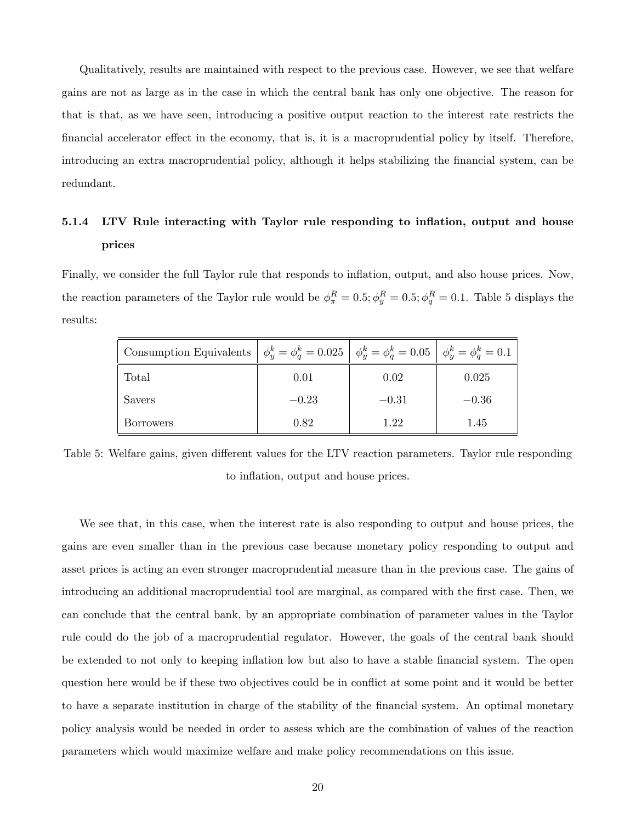Qualitatively, results are maintained with respect to the previous case. However, we see that welfare gains are not as large as in the case in which the central bank has only one objective. The reason for that is that, as we have seen, introducing a positive output reaction to the interest rate restricts the financial accelerator effect in the economy, that is, it is a macroprudential policy by itself. Therefore, introducing an extra macroprudential policy, although it helps stabilizing the financial system, can be redundant.

## 5.1.4 LTV Rule interacting with Taylor rule responding to inflation, output and house prices

Finally, we consider the full Taylor rule that responds to inflation, output, and also house prices. Now, the reaction parameters of the Taylor rule would be  $\phi_{\pi}^{R} = 0.5$ ;  $\phi_{y}^{R} = 0.5$ ;  $\phi_{q}^{R} = 0.1$ . Table 5 displays the results:

| Consumption Equivalents $\phi_u^k = \phi_a^k = 0.025$ $\phi_u^k = \phi_a^k = 0.05$ $\phi_u^k = \phi_a^k = 0.1$ |         |         |         |
|----------------------------------------------------------------------------------------------------------------|---------|---------|---------|
| Total                                                                                                          | 0.01    | 0.02    | 0.025   |
| Savers                                                                                                         | $-0.23$ | $-0.31$ | $-0.36$ |
| <b>Borrowers</b>                                                                                               | 0.82    | 1.22    | 1.45    |

Table 5: Welfare gains, given different values for the LTV reaction parameters. Taylor rule responding to inflation, output and house prices.

We see that, in this case, when the interest rate is also responding to output and house prices, the gains are even smaller than in the previous case because monetary policy responding to output and asset prices is acting an even stronger macroprudential measure than in the previous case. The gains of introducing an additional macroprudential tool are marginal, as compared with the first case. Then, we can conclude that the central bank, by an appropriate combination of parameter values in the Taylor rule could do the job of a macroprudential regulator. However, the goals of the central bank should be extended to not only to keeping inflation low but also to have a stable financial system. The open question here would be if these two objectives could be in conflict at some point and it would be better to have a separate institution in charge of the stability of the financial system. An optimal monetary policy analysis would be needed in order to assess which are the combination of values of the reaction parameters which would maximize welfare and make policy recommendations on this issue.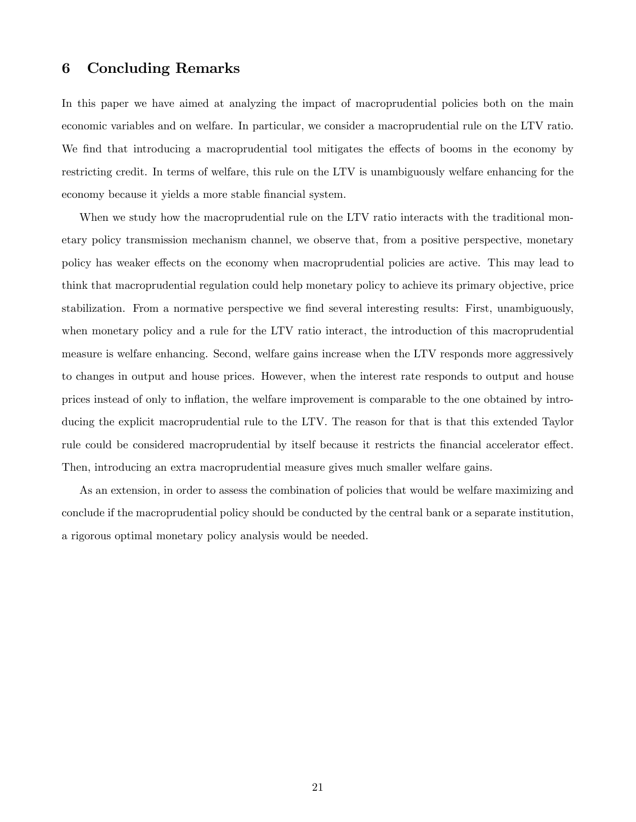## 6 Concluding Remarks

In this paper we have aimed at analyzing the impact of macroprudential policies both on the main economic variables and on welfare. In particular, we consider a macroprudential rule on the LTV ratio. We find that introducing a macroprudential tool mitigates the effects of booms in the economy by restricting credit. In terms of welfare, this rule on the LTV is unambiguously welfare enhancing for the economy because it yields a more stable financial system.

When we study how the macroprudential rule on the LTV ratio interacts with the traditional monetary policy transmission mechanism channel, we observe that, from a positive perspective, monetary policy has weaker effects on the economy when macroprudential policies are active. This may lead to think that macroprudential regulation could help monetary policy to achieve its primary objective, price stabilization. From a normative perspective we find several interesting results: First, unambiguously, when monetary policy and a rule for the LTV ratio interact, the introduction of this macroprudential measure is welfare enhancing. Second, welfare gains increase when the LTV responds more aggressively to changes in output and house prices. However, when the interest rate responds to output and house prices instead of only to ináation, the welfare improvement is comparable to the one obtained by introducing the explicit macroprudential rule to the LTV. The reason for that is that this extended Taylor rule could be considered macroprudential by itself because it restricts the financial accelerator effect. Then, introducing an extra macroprudential measure gives much smaller welfare gains.

As an extension, in order to assess the combination of policies that would be welfare maximizing and conclude if the macroprudential policy should be conducted by the central bank or a separate institution, a rigorous optimal monetary policy analysis would be needed.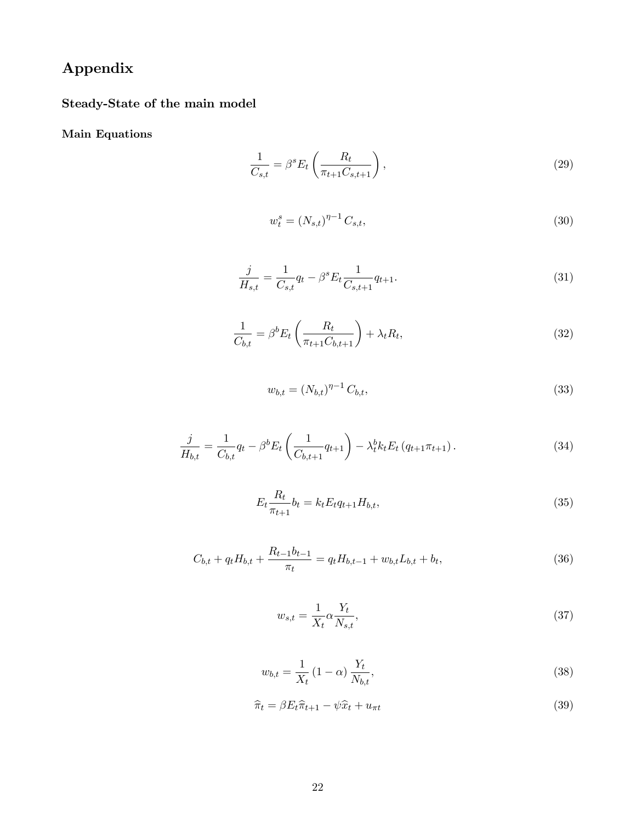# Appendix

Steady-State of the main model

Main Equations

$$
\frac{1}{C_{s,t}} = \beta^s E_t \left( \frac{R_t}{\pi_{t+1} C_{s,t+1}} \right),\tag{29}
$$

$$
w_t^s = (N_{s,t})^{\eta - 1} C_{s,t},\tag{30}
$$

$$
\frac{j}{H_{s,t}} = \frac{1}{C_{s,t}} q_t - \beta^s E_t \frac{1}{C_{s,t+1}} q_{t+1}.
$$
\n(31)

$$
\frac{1}{C_{b,t}} = \beta^b E_t \left( \frac{R_t}{\pi_{t+1} C_{b,t+1}} \right) + \lambda_t R_t,
$$
\n(32)

$$
w_{b,t} = (N_{b,t})^{\eta - 1} C_{b,t},
$$
\n(33)

$$
\frac{j}{H_{b,t}} = \frac{1}{C_{b,t}} q_t - \beta^b E_t \left( \frac{1}{C_{b,t+1}} q_{t+1} \right) - \lambda_t^b k_t E_t \left( q_{t+1} \pi_{t+1} \right). \tag{34}
$$

$$
E_t \frac{R_t}{\pi_{t+1}} b_t = k_t E_t q_{t+1} H_{b,t},
$$
\n(35)

$$
C_{b,t} + q_t H_{b,t} + \frac{R_{t-1}b_{t-1}}{\pi_t} = q_t H_{b,t-1} + w_{b,t} L_{b,t} + b_t,
$$
\n(36)

$$
w_{s,t} = \frac{1}{X_t} \alpha \frac{Y_t}{N_{s,t}},\tag{37}
$$

$$
w_{b,t} = \frac{1}{X_t} (1 - \alpha) \frac{Y_t}{N_{b,t}},
$$
\n(38)

$$
\widehat{\pi}_t = \beta E_t \widehat{\pi}_{t+1} - \psi \widehat{x}_t + u_{\pi t} \tag{39}
$$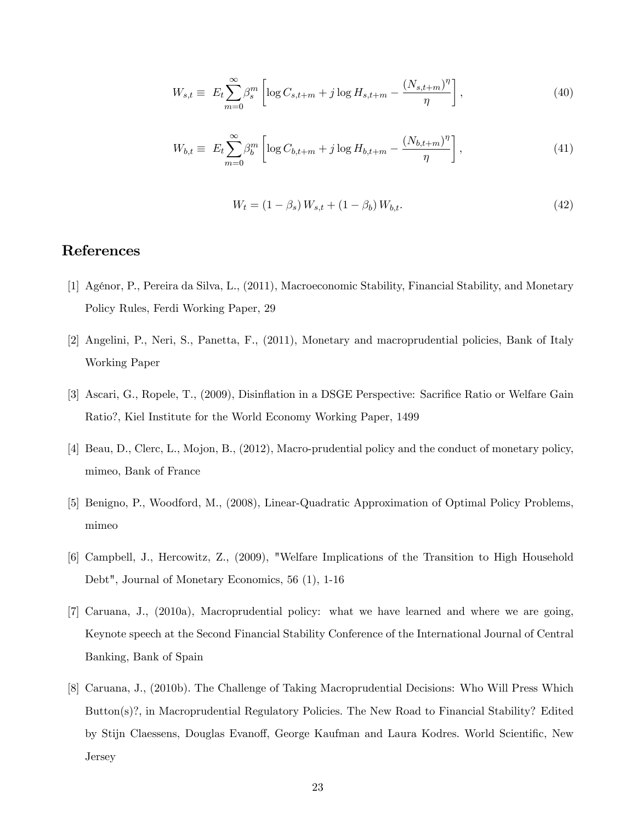$$
W_{s,t} \equiv E_t \sum_{m=0}^{\infty} \beta_s^m \left[ \log C_{s,t+m} + j \log H_{s,t+m} - \frac{(N_{s,t+m})^{\eta}}{\eta} \right],
$$
 (40)

$$
W_{b,t} \equiv E_t \sum_{m=0}^{\infty} \beta_b^m \left[ \log C_{b,t+m} + j \log H_{b,t+m} - \frac{(N_{b,t+m})^{\eta}}{\eta} \right],
$$
\n(41)

$$
W_t = (1 - \beta_s) W_{s,t} + (1 - \beta_b) W_{b,t}.
$$
\n(42)

## References

- [1] AgÈnor, P., Pereira da Silva, L., (2011), Macroeconomic Stability, Financial Stability, and Monetary Policy Rules, Ferdi Working Paper, 29
- [2] Angelini, P., Neri, S., Panetta, F., (2011), Monetary and macroprudential policies, Bank of Italy Working Paper
- [3] Ascari, G., Ropele, T., (2009), Disinflation in a DSGE Perspective: Sacrifice Ratio or Welfare Gain Ratio?, Kiel Institute for the World Economy Working Paper, 1499
- [4] Beau, D., Clerc, L., Mojon, B., (2012), Macro-prudential policy and the conduct of monetary policy, mimeo, Bank of France
- [5] Benigno, P., Woodford, M., (2008), Linear-Quadratic Approximation of Optimal Policy Problems, mimeo
- [6] Campbell, J., Hercowitz, Z., (2009), "Welfare Implications of the Transition to High Household Debt", Journal of Monetary Economics, 56 (1), 1-16
- [7] Caruana, J., (2010a), Macroprudential policy: what we have learned and where we are going, Keynote speech at the Second Financial Stability Conference of the International Journal of Central Banking, Bank of Spain
- [8] Caruana, J., (2010b). The Challenge of Taking Macroprudential Decisions: Who Will Press Which Button(s)?, in Macroprudential Regulatory Policies. The New Road to Financial Stability? Edited by Stijn Claessens, Douglas Evanoff, George Kaufman and Laura Kodres. World Scientific, New Jersey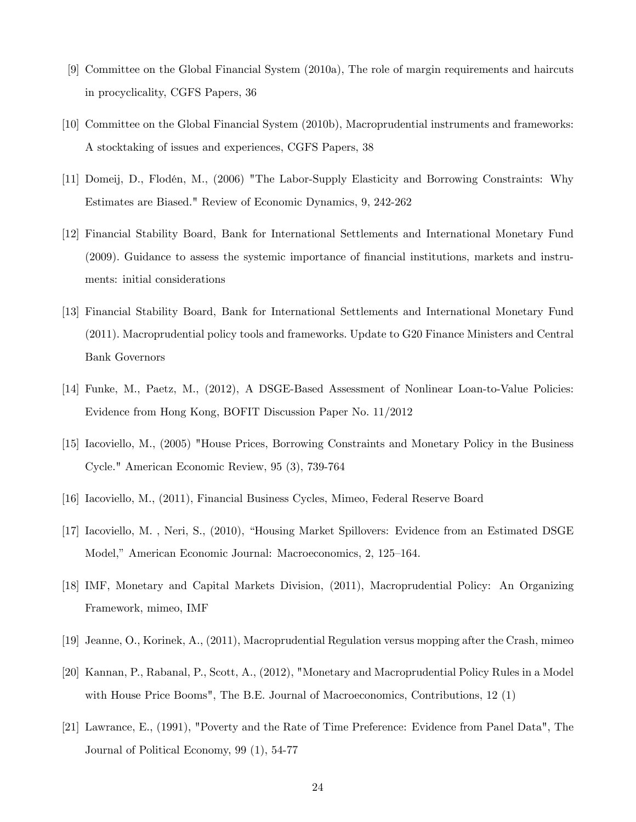- [9] Committee on the Global Financial System (2010a), The role of margin requirements and haircuts in procyclicality, CGFS Papers, 36
- [10] Committee on the Global Financial System (2010b), Macroprudential instruments and frameworks: A stocktaking of issues and experiences, CGFS Papers, 38
- [11] Domeij, D., Flodén, M., (2006) "The Labor-Supply Elasticity and Borrowing Constraints: Why Estimates are Biased." Review of Economic Dynamics, 9, 242-262
- [12] Financial Stability Board, Bank for International Settlements and International Monetary Fund (2009). Guidance to assess the systemic importance of Önancial institutions, markets and instruments: initial considerations
- [13] Financial Stability Board, Bank for International Settlements and International Monetary Fund (2011). Macroprudential policy tools and frameworks. Update to G20 Finance Ministers and Central Bank Governors
- [14] Funke, M., Paetz, M., (2012), A DSGE-Based Assessment of Nonlinear Loan-to-Value Policies: Evidence from Hong Kong, BOFIT Discussion Paper No. 11/2012
- [15] Iacoviello, M., (2005) "House Prices, Borrowing Constraints and Monetary Policy in the Business Cycle." American Economic Review, 95 (3), 739-764
- [16] Iacoviello, M., (2011), Financial Business Cycles, Mimeo, Federal Reserve Board
- [17] Iacoviello, M., Neri, S., (2010), "Housing Market Spillovers: Evidence from an Estimated DSGE Model," American Economic Journal: Macroeconomics, 2, 125–164.
- [18] IMF, Monetary and Capital Markets Division, (2011), Macroprudential Policy: An Organizing Framework, mimeo, IMF
- [19] Jeanne, O., Korinek, A., (2011), Macroprudential Regulation versus mopping after the Crash, mimeo
- [20] Kannan, P., Rabanal, P., Scott, A., (2012), "Monetary and Macroprudential Policy Rules in a Model with House Price Booms", The B.E. Journal of Macroeconomics, Contributions, 12 (1)
- [21] Lawrance, E., (1991), "Poverty and the Rate of Time Preference: Evidence from Panel Data", The Journal of Political Economy, 99 (1), 54-77